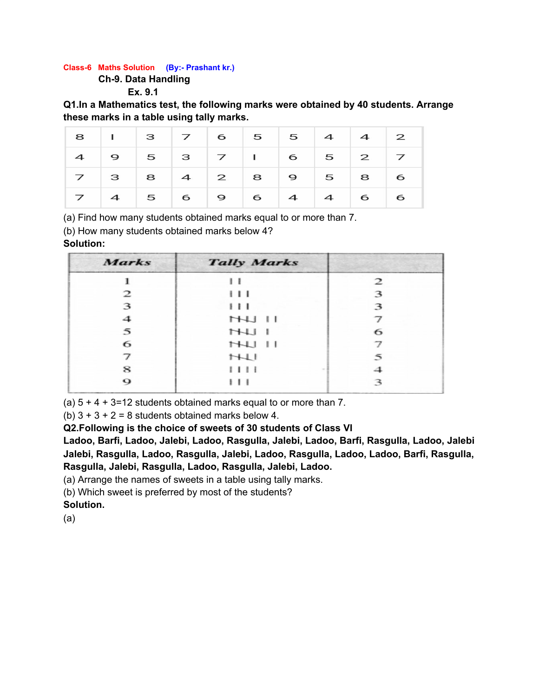#### **Class-6 Maths Solution (By:- Prashant kr.)**

**Ch-9. Data Handling**

**Ex. 9.1**

**Q1.In a Mathematics test, the following marks were obtained by 40 students. Arrange these marks in a table using tally marks.**

|  |  | 8 1 3 7 6 5 5 4 4 2   |  |  |
|--|--|-----------------------|--|--|
|  |  | $4$ 9 5 3 7 1 6 5 2 7 |  |  |
|  |  | 7 3 8 4 2 8 9 5 8 6   |  |  |
|  |  | 7 4 5 6 9 6 4 4 6 6   |  |  |

(a) Find how many students obtained marks equal to or more than 7.

(b) How many students obtained marks below 4?

# **Solution:**

| <b>Marks</b> | <b>Tally Marks</b> |               |
|--------------|--------------------|---------------|
|              | $\mathbf{L}$       | $\mathcal{P}$ |
| 2            | $\cdots$           | 3             |
| 3            | 111                | 3             |
| 4            | $H$ $H$            |               |
| 5            | H L                | 6             |
| 6            | $H$ $H$ $H$        |               |
| 7            | H                  | 5             |
| 8            | 1111               |               |
| о            | $+ + +$            | З             |

(a)  $5 + 4 + 3 = 12$  students obtained marks equal to or more than 7.

(b)  $3 + 3 + 2 = 8$  students obtained marks below 4.

**Q2.Following is the choice of sweets of 30 students of Class VI**

**Ladoo, Barfi, Ladoo, Jalebi, Ladoo, Rasgulla, Jalebi, Ladoo, Barfi, Rasgulla, Ladoo, Jalebi Jalebi, Rasgulla, Ladoo, Rasgulla, Jalebi, Ladoo, Rasgulla, Ladoo, Ladoo, Barfi, Rasgulla, Rasgulla, Jalebi, Rasgulla, Ladoo, Rasgulla, Jalebi, Ladoo.**

(a) Arrange the names of sweets in a table using tally marks.

(b) Which sweet is preferred by most of the students?

**Solution.**

(a)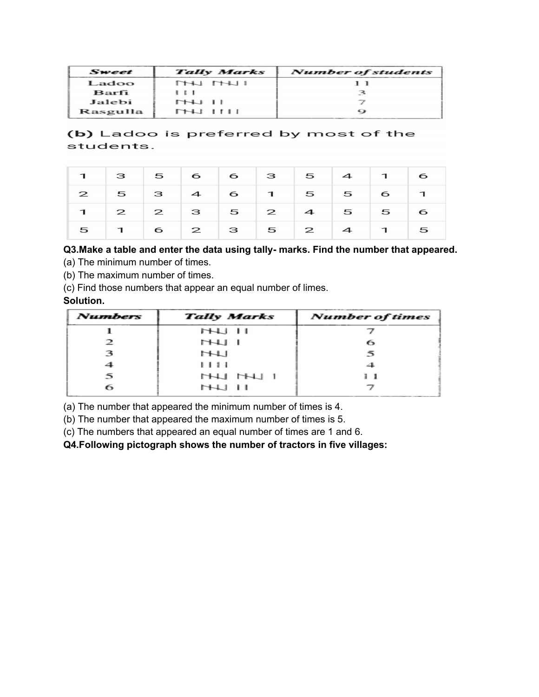| Sweet    | <b>Tally Marks</b> | Number of students |
|----------|--------------------|--------------------|
| Ladoo    | THI ITHI           |                    |
| Barfi    | $\cdots$           |                    |
| Jalebi   | <b>THU II</b>      |                    |
| Rasgulla | $THI$ $HII$        | ↩                  |

(b) Ladoo is preferred by most of the students.

|  |  | $1$ 3 5 6 6 3 5 4 1 6                   |  |  |
|--|--|-----------------------------------------|--|--|
|  |  | $2$ 5 3 4 6 1 5 5 6 1                   |  |  |
|  |  | $1$ $2$ $2$ $3$ $5$ $2$ $4$ $5$ $5$ $6$ |  |  |
|  |  | $5$ 1 6 2 3 5 2 4 1 5                   |  |  |

# **Q3.Make a table and enter the data using tally- marks. Find the number that appeared.**

(a) The minimum number of times.

(b) The maximum number of times.

(c) Find those numbers that appear an equal number of limes.

## **Solution.**

| <b>Numbers</b> | <b>Tally Marks</b> | <b>Number of times</b> |
|----------------|--------------------|------------------------|
|                | $H$ $H$            |                        |
| $\mathcal{P}$  | H LH               | 6                      |
| 3              | H                  |                        |
| 4              | 1111               |                        |
| 5              | HHJ HHJ 1          |                        |
| 6              | $H$ $H$            |                        |

(a) The number that appeared the minimum number of times is 4.

(b) The number that appeared the maximum number of times is 5.

(c) The numbers that appeared an equal number of times are 1 and 6.

**Q4.Following pictograph shows the number of tractors in five villages:**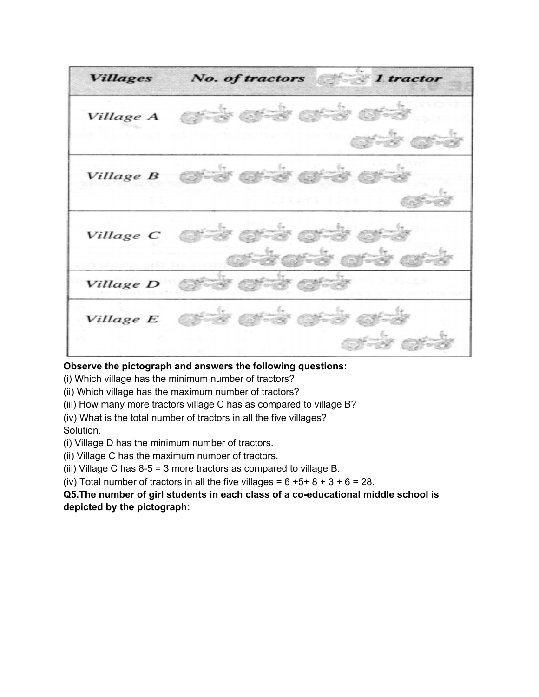**fish** and **Villages** No. of tractors 1 tractor Village A Village B Village C Village D Village E

#### **Observe the pictograph and answers the following questions:**

(i) Which village has the minimum number of tractors?

(ii) Which village has the maximum number of tractors?

(iii) How many more tractors village C has as compared to village B?

(iv) What is the total number of tractors in all the five villages? Solution.

(i) Village D has the minimum number of tractors.

(ii) Village C has the maximum number of tractors.

(iii) Village C has 8-5 = 3 more tractors as compared to village B.

(iv) Total number of tractors in all the five villages =  $6 + 5 + 8 + 3 + 6 = 28$ .

**Q5.The number of girl students in each class of a co-educational middle school is depicted by the pictograph:**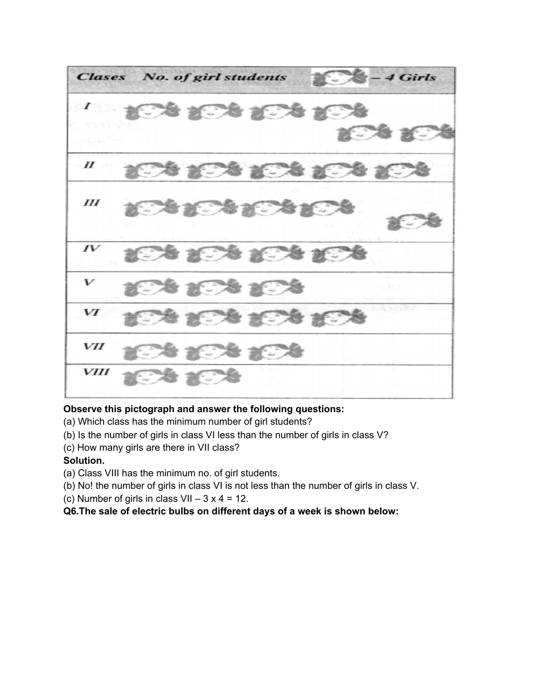**Clases** No. of girl students - 4 Girls 为记者 近  $\boldsymbol{\mathit{II}}$  $III$  $IV$ V VI VII 2. 1 **VIII** 

# **Observe this pictograph and answer the following questions:**

- (a) Which class has the minimum number of girl students?
- (b) Is the number of girls in class VI less than the number of girls in class V?
- (c) How many girls are there in VII class?

# **Solution.**

- (a) Class VIII has the minimum no. of girl students.
- (b) No! the number of girls in class VI is not less than the number of girls in class V.
- (c) Number of girls in class  $VII 3x4 = 12$ .
- **Q6.The sale of electric bulbs on different days of a week is shown below:**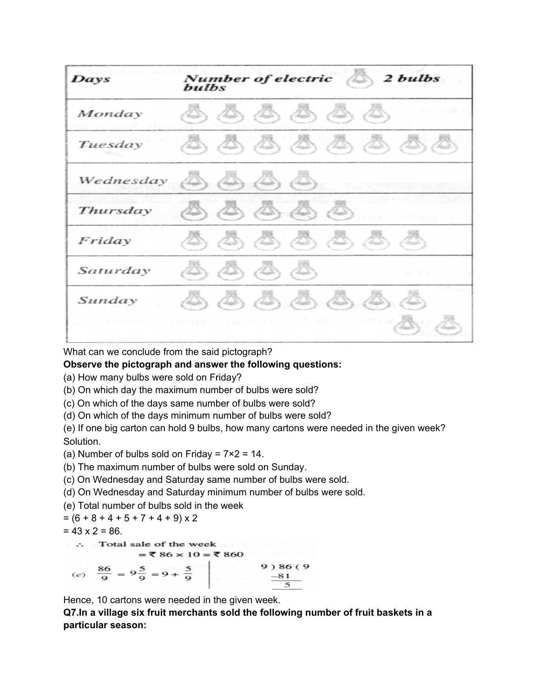| Days      | Number of electric 2 bulbs<br>bulbs                                                                         |
|-----------|-------------------------------------------------------------------------------------------------------------|
| Monday    | $\langle 3, 23, 23, 23, 23 \rangle$                                                                         |
| Tuesday   | AAAAAAAAA                                                                                                   |
| Wednesday | $\triangle$ , $\triangle$ , $\triangle$ , $\triangle$ )                                                     |
| Thursday  | $\langle \mathcal{B}, \mathcal{B}, \mathcal{B} \rangle$                                                     |
| Friday    | $\langle \mathcal{B}, \mathcal{B}, \mathcal{B}, \mathcal{B}, \mathcal{B}, \mathcal{B}, \mathcal{B} \rangle$ |
| Saturday  | (IS) (IS) (IS)<br>l San                                                                                     |
| Sunday    | $\langle 3, 4, 4, 4 \rangle$<br>Æ,                                                                          |
|           | 计数据 化甲基苯胺 医眼镜 医无子宫 医心包 医心包 医心包 医心包<br>28                                                                    |

What can we conclude from the said pictograph?

**Observe the pictograph and answer the following questions:**

(a) How many bulbs were sold on Friday?

(b) On which day the maximum number of bulbs were sold?

(c) On which of the days same number of bulbs were sold?

(d) On which of the days minimum number of bulbs were sold?

(e) If one big carton can hold 9 bulbs, how many cartons were needed in the given week? Solution.

(a) Number of bulbs sold on Friday =  $7 \times 2 = 14$ .

(b) The maximum number of bulbs were sold on Sunday.

(c) On Wednesday and Saturday same number of bulbs were sold.

(d) On Wednesday and Saturday minimum number of bulbs were sold.

(e) Total number of bulbs sold in the week

$$
= (6 + 8 + 4 + 5 + 7 + 4 + 9) \times 2
$$

 $= 43 \times 2 = 86.$ 

 $\therefore$  Total sale of the week  $e^{\frac{36}{9}} = 9\frac{5}{9} = 9 + \frac{5}{9}$  9) 86 (9<br>Hence, 10 cartons were needed in the given week.

**Q7.In a village six fruit merchants sold the following number of fruit baskets in a particular season:**